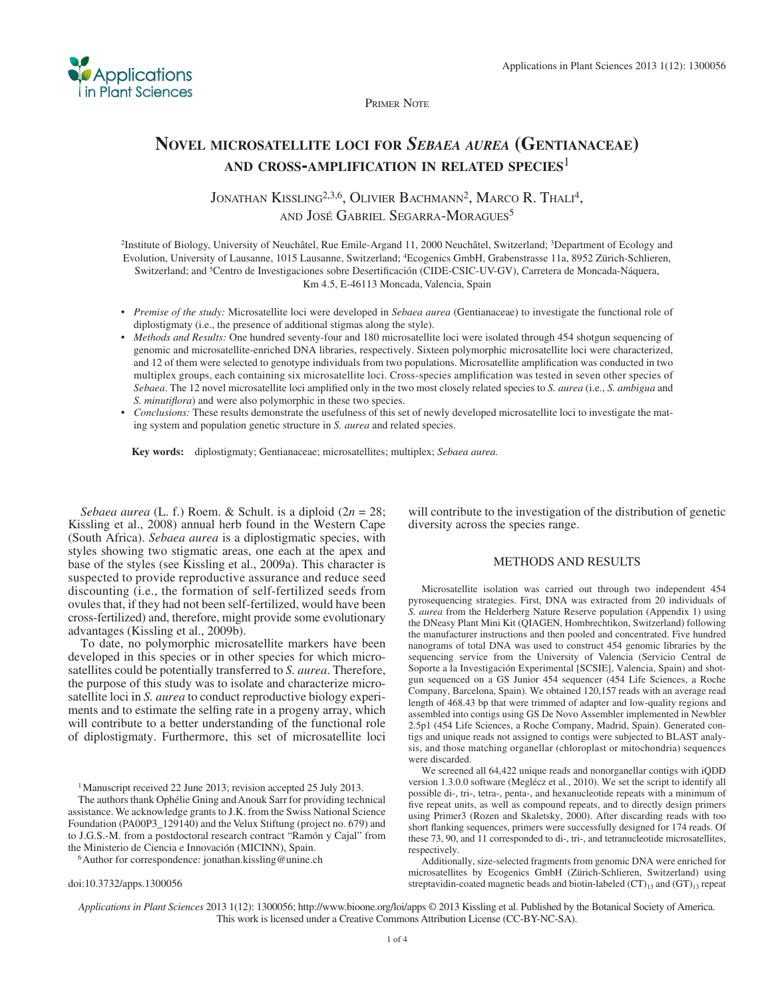

PRIMER NOTE

## **NOVEL MICROSATELLITE LOCI FOR** *SEBAEA AUREA* **(GENTIANACEAE) AND CROSS-AMPLIFICATION IN RELATED SPECIES**<sup>1</sup>

JONATHAN KISSLING<sup>2,3,6</sup>, OLIVIER BACHMANN<sup>2</sup>, MARCO R. THALI<sup>4</sup>, AND JOSÉ GABRIEL SEGARRA-MORAGUES 5

2 Institute of Biology, University of Neuchâtel, Rue Emile-Argand 11, 2000 Neuchâtel, Switzerland; 3 Department of Ecology and Evolution, University of Lausanne, 1015 Lausanne, Switzerland; 4 Ecogenics GmbH, Grabenstrasse 11a, 8952 Zürich-Schlieren, Switzerland; and <sup>5</sup> Centro de Investigaciones sobre Desertificación (CIDE-CSIC-UV-GV), Carretera de Moncada-Náquera, Km 4.5, E-46113 Moncada, Valencia, Spain

- *Premise of the study:* Microsatellite loci were developed in *Sebaea aurea* (Gentianaceae) to investigate the functional role of diplostigmaty (i.e., the presence of additional stigmas along the style).
- *Methods and Results:* One hundred seventy-four and 180 microsatellite loci were isolated through 454 shotgun sequencing of genomic and microsatellite-enriched DNA libraries, respectively. Sixteen polymorphic microsatellite loci were characterized, and 12 of them were selected to genotype individuals from two populations. Microsatellite amplification was conducted in two multiplex groups, each containing six microsatellite loci. Cross-species amplification was tested in seven other species of *Sebaea*. The 12 novel microsatellite loci amplified only in the two most closely related species to *S. aurea* (i.e., *S. ambigua* and *S. minutiflora*) and were also polymorphic in these two species.
- *Conclusions:* These results demonstrate the usefulness of this set of newly developed microsatellite loci to investigate the mating system and population genetic structure in *S. aurea* and related species.

 **Key words:** diplostigmaty; Gentianaceae; microsatellites; multiplex; *Sebaea aurea.*

*Sebaea aurea* (L. f.) Roem. & Schult. is a diploid ( $2n = 28$ ; Kissling et al., 2008) annual herb found in the Western Cape (South Africa). *Sebaea aurea* is a diplostigmatic species, with styles showing two stigmatic areas, one each at the apex and base of the styles (see Kissling et al., 2009a). This character is suspected to provide reproductive assurance and reduce seed discounting (i.e., the formation of self-fertilized seeds from ovules that, if they had not been self-fertilized, would have been cross-fertilized) and, therefore, might provide some evolutionary advantages (Kissling et al., 2009b).

 To date, no polymorphic microsatellite markers have been developed in this species or in other species for which microsatellites could be potentially transferred to *S. aurea* . Therefore, the purpose of this study was to isolate and characterize microsatellite loci in *S. aurea* to conduct reproductive biology experiments and to estimate the selfing rate in a progeny array, which will contribute to a better understanding of the functional role of diplostigmaty. Furthermore, this set of microsatellite loci

<sup>1</sup> Manuscript received 22 June 2013; revision accepted 25 July 2013.

 The authors thank Ophélie Gning and Anouk Sarr for providing technical assistance. We acknowledge grants to J.K. from the Swiss National Science Foundation (PA00P3\_129140) and the Velux Stiftung (project no. 679) and to J.G.S.-M. from a postdoctoral research contract "Ramón y Cajal" from the Ministerio de Ciencia e Innovación (MICINN), Spain. 6 Author for correspondence: jonathan.kissling@unine.ch

doi:10.3732/apps.1300056

will contribute to the investigation of the distribution of genetic diversity across the species range.

## METHODS AND RESULTS

 Microsatellite isolation was carried out through two independent 454 pyrosequencing strategies. First, DNA was extracted from 20 individuals of *S. aurea* from the Helderberg Nature Reserve population (Appendix 1) using the DNeasy Plant Mini Kit (QIAGEN, Hombrechtikon, Switzerland) following the manufacturer instructions and then pooled and concentrated. Five hundred nanograms of total DNA was used to construct 454 genomic libraries by the sequencing service from the University of Valencia (Servicio Central de Soporte a la Investigación Experimental [SCSIE], Valencia, Spain) and shotgun sequenced on a GS Junior 454 sequencer (454 Life Sciences, a Roche Company, Barcelona, Spain). We obtained 120,157 reads with an average read length of 468.43 bp that were trimmed of adapter and low-quality regions and assembled into contigs using GS De Novo Assembler implemented in Newbler 2.5p1 (454 Life Sciences, a Roche Company, Madrid, Spain). Generated contigs and unique reads not assigned to contigs were subjected to BLAST analysis, and those matching organellar (chloroplast or mitochondria) sequences were discarded.

 We screened all 64,422 unique reads and nonorganellar contigs with iQDD version 1.3.0.0 software (Meglécz et al., 2010). We set the script to identify all possible di-, tri-, tetra-, penta-, and hexanucleotide repeats with a minimum of five repeat units, as well as compound repeats, and to directly design primers using Primer3 (Rozen and Skaletsky, 2000). After discarding reads with too short flanking sequences, primers were successfully designed for 174 reads. Of these 73, 90, and 11 corresponded to di-, tri-, and tetranucleotide microsatellites, respectively.

 Additionally, size-selected fragments from genomic DNA were enriched for microsatellites by Ecogenics GmbH (Zürich-Schlieren, Switzerland) using streptavidin-coated magnetic beads and biotin-labeled  $(CT)_{13}$  and  $(GT)_{13}$  repeat

*Applications in Plant Sciences* 2013 1(12): 1300056; http://www.bioone.org/loi/apps © 2013 Kissling et al. Published by the Botanical Society of America. This work is licensed under a Creative Commons Attribution License (CC-BY-NC-SA).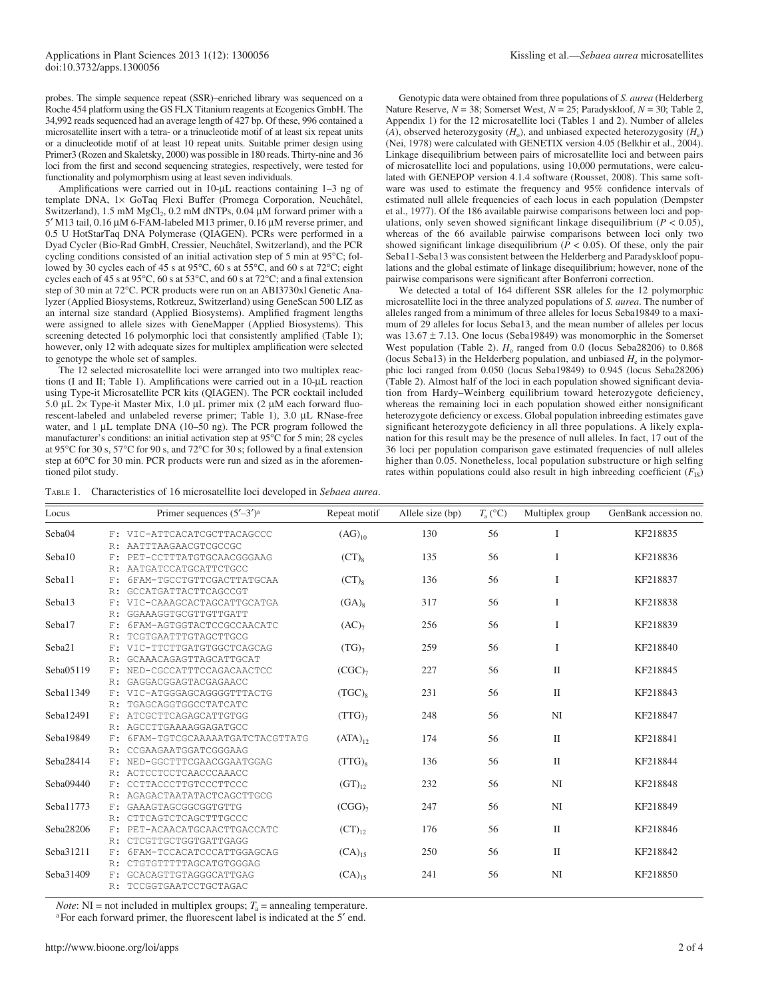probes. The simple sequence repeat (SSR)–enriched library was sequenced on a Roche 454 platform using the GS FLX Titanium reagents at Ecogenics GmbH. The 34,992 reads sequenced had an average length of 427 bp. Of these, 996 contained a microsatellite insert with a tetra- or a trinucleotide motif of at least six repeat units or a dinucleotide motif of at least 10 repeat units. Suitable primer design using Primer3 (Rozen and Skaletsky, 2000) was possible in 180 reads. Thirty-nine and 36 loci from the first and second sequencing strategies, respectively, were tested for functionality and polymorphism using at least seven individuals.

Amplifications were carried out in 10-μL reactions containing 1-3 ng of template DNA, 1× GoTaq Flexi Buffer (Promega Corporation, Neuchâtel, Switzerland), 1.5 mM  $MgCl_2$ , 0.2 mM dNTPs, 0.04  $\mu$ M forward primer with a 5' M13 tail,  $0.16 \mu$ M 6-FAM-labeled M13 primer,  $0.16 \mu$ M reverse primer, and 0.5 U HotStarTaq DNA Polymerase (QIAGEN). PCRs were performed in a Dyad Cycler (Bio-Rad GmbH, Cressier, Neuchâtel, Switzerland), and the PCR cycling conditions consisted of an initial activation step of 5 min at 95°C; followed by 30 cycles each of 45 s at 95 $\degree$ C, 60 s at 55 $\degree$ C, and 60 s at 72 $\degree$ C; eight cycles each of 45 s at 95 $\degree$ C, 60 s at 53 $\degree$ C, and 60 s at 72 $\degree$ C; and a final extension step of 30 min at 72°C. PCR products were run on an ABI3730xl Genetic Analyzer (Applied Biosystems, Rotkreuz, Switzerland) using GeneScan 500 LIZ as an internal size standard (Applied Biosystems). Amplified fragment lengths were assigned to allele sizes with GeneMapper (Applied Biosystems). This screening detected 16 polymorphic loci that consistently amplified (Table 1); however, only 12 with adequate sizes for multiplex amplification were selected to genotype the whole set of samples.

 The 12 selected microsatellite loci were arranged into two multiplex reactions (I and II; Table 1). Amplifications were carried out in a 10-μL reaction using Type-it Microsatellite PCR kits (QIAGEN). The PCR cocktail included 5.0 μL  $2\times$  Type-it Master Mix, 1.0 μL primer mix (2 μM each forward fluorescent-labeled and unlabeled reverse primer; Table 1), 3.0 μL RNase-free water, and 1  $\mu$ L template DNA (10–50 ng). The PCR program followed the manufacturer's conditions: an initial activation step at 95°C for 5 min; 28 cycles at 95 $\degree$ C for 30 s, 57 $\degree$ C for 90 s, and 72 $\degree$ C for 30 s; followed by a final extension step at  $60^{\circ}$ C for 30 min. PCR products were run and sized as in the aforementioned pilot study.

 Genotypic data were obtained from three populations of *S. aurea* (Helderberg Nature Reserve,  $N = 38$ ; Somerset West,  $N = 25$ ; Paradyskloof,  $N = 30$ ; Table 2, Appendix 1) for the 12 microsatellite loci (Tables 1 and 2). Number of alleles  $(A)$ , observed heterozygosity  $(H_0)$ , and unbiased expected heterozygosity  $(H_e)$ (Nei, 1978) were calculated with GENETIX version 4.05 (Belkhir et al., 2004). Linkage disequilibrium between pairs of microsatellite loci and between pairs of microsatellite loci and populations, using 10,000 permutations, were calculated with GENEPOP version 4.1.4 software (Rousset, 2008). This same software was used to estimate the frequency and 95% confidence intervals of estimated null allele frequencies of each locus in each population ( Dempster et al., 1977 ). Of the 186 available pairwise comparisons between loci and populations, only seven showed significant linkage disequilibrium ( $P < 0.05$ ), whereas of the 66 available pairwise comparisons between loci only two showed significant linkage disequilibrium  $(P < 0.05)$ . Of these, only the pair Seba11-Seba13 was consistent between the Helderberg and Paradyskloof populations and the global estimate of linkage disequilibrium; however, none of the pairwise comparisons were significant after Bonferroni correction.

 We detected a total of 164 different SSR alleles for the 12 polymorphic microsatellite loci in the three analyzed populations of *S. aurea* . The number of alleles ranged from a minimum of three alleles for locus Seba19849 to a maximum of 29 alleles for locus Seba13, and the mean number of alleles per locus was  $13.67 \pm 7.13$ . One locus (Seba19849) was monomorphic in the Somerset West population (Table 2).  $H_0$  ranged from 0.0 (locus Seba28206) to 0.868 (locus Seba13) in the Helderberg population, and unbiased  $H<sub>e</sub>$  in the polymorphic loci ranged from 0.050 (locus Seba19849) to 0.945 (locus Seba28206) (Table 2). Almost half of the loci in each population showed significant deviation from Hardy–Weinberg equilibrium toward heterozygote deficiency, whereas the remaining loci in each population showed either nonsignificant heterozygote deficiency or excess. Global population inbreeding estimates gave significant heterozygote deficiency in all three populations. A likely explanation for this result may be the presence of null alleles. In fact, 17 out of the 36 loci per population comparison gave estimated frequencies of null alleles higher than 0.05. Nonetheless, local population substructure or high selfing rates within populations could also result in high inbreeding coefficient  $(F_{1S})$ 

| Locus     |     | Primer sequences $(5'–3')^a$   | Repeat motif      | Allele size (bp) | $T_{\rm a}$ (°C) | Multiplex group | GenBank accession no. |
|-----------|-----|--------------------------------|-------------------|------------------|------------------|-----------------|-----------------------|
| Seba04    |     | F: VIC-ATTCACATCGCTTACAGCCC    | $(AG)_{10}$       | 130              | 56               | I               | KF218835              |
|           |     | R: AATTTAAGAACGTCGCCGC         |                   |                  |                  |                 |                       |
| Seba10    | F:  | PET-CCTTTATGTGCAACGGGAAG       | $(CT)_8$          | 135              | 56               | I               | KF218836              |
|           | R:  | AATGATCCATGCATTCTGCC           |                   |                  |                  |                 |                       |
| Seba11    | F:  | 6FAM-TGCCTGTTCGACTTATGCAA      | $(CT)_8$          | 136              | 56               | I               | KF218837              |
|           | R:  | GCCATGATTACTTCAGCCGT           |                   |                  |                  |                 |                       |
| Seba13    |     | F: VIC-CAAAGCACTAGCATTGCATGA   | $(GA)_8$          | 317              | 56               | I               | KF218838              |
|           | R:  | GGAAAGGTGCGTTGTTGATT           |                   |                  |                  |                 |                       |
| Seba17    | F:  | 6FAM-AGTGGTACTCCGCCAACATC      | (AC) <sub>7</sub> | 256              | 56               | I               | KF218839              |
|           | R:  | TCGTGAATTTGTAGCTTGCG           |                   |                  |                  |                 |                       |
| Seba21    | F : | VIC-TTCTTGATGTGGCTCAGCAG       | $(TG)_{7}$        | 259              | 56               | I               | KF218840              |
|           | R:  | GCAAACAGAGTTAGCATTGCAT         |                   |                  |                  |                 |                       |
| Seba05119 | F:  | NED-CGCCATTTCCAGACAACTCC       | $(CGC)_{7}$       | 227              | 56               | $\mathbf{I}$    | KF218845              |
|           |     | R: GAGGACGGAGTACGAGAACC        |                   |                  |                  |                 |                       |
| Seba11349 | F.  | VIC-ATGGGAGCAGGGGTTTACTG       | $(TGC)_{8}$       | 231              | 56               | $\mathbf{I}$    | KF218843              |
|           | R:  | TGAGCAGGTGGCCTATCATC           |                   |                  |                  |                 |                       |
| Seba12491 | F:  | ATCGCTTCAGAGCATTGTGG           | $(TTG)_{7}$       | 248              | 56               | NI              | KF218847              |
|           | R:  | AGCCTTGAAAAGGAGATGCC           |                   |                  |                  |                 |                       |
| Seba19849 | F:  | 6FAM-TGTCGCAAAAATGATCTACGTTATG | $(ATA)_{12}$      | 174              | 56               | $\mathbf{I}$    | KF218841              |
|           | R:  | CCGAAGAATGGATCGGGAAG           |                   |                  |                  |                 |                       |
| Seba28414 | F:  | NED-GGCTTTCGAACGGAATGGAG       | $(TTG)_{8}$       | 136              | 56               | $\mathbf{I}$    | KF218844              |
|           |     | R: ACTCCTCCTCAACCCAAACC        |                   |                  |                  |                 |                       |
| Seba09440 | F:  | CCTTACCCTTGTCCCTTCCC           | $(GT)_{12}$       | 232              | 56               | NI              | KF218848              |
|           | R:  | AGAGACTAATATACTCAGCTTGCG       |                   |                  |                  |                 |                       |
| Seba11773 | F:  | GAAAGTAGCGGCGGTGTTG            | $(CGG)_{7}$       | 247              | 56               | NI              | KF218849              |
|           | R:  | CTTCAGTCTCAGCTTTGCCC           |                   |                  |                  |                 |                       |
| Seba28206 | F : | PET-ACAACATGCAACTTGACCATC      | $(CT)_{12}$       | 176              | 56               | $\mathbf{I}$    | KF218846              |
|           | R:  | CTCGTTGCTGGTGATTGAGG           |                   |                  |                  |                 |                       |
| Seba31211 | F : | 6FAM-TCCACATCCCATTGGAGCAG      | $(CA)_{15}$       | 250              | 56               | $\mathbf{I}$    | KF218842              |
|           | R:  | CTGTGTTTTTAGCATGTGGGAG         |                   |                  |                  |                 |                       |
| Seba31409 | F.  | GCACAGTTGTAGGGCATTGAG          | $(CA)_{15}$       | 241              | 56               | NI              | KF218850              |
|           |     | R: TCCGGTGAATCCTGCTAGAC        |                   |                  |                  |                 |                       |

*Note*: NI = not included in multiplex groups;  $T_a$  = annealing temperature.

<sup>a</sup> For each forward primer, the fluorescent label is indicated at the 5' end.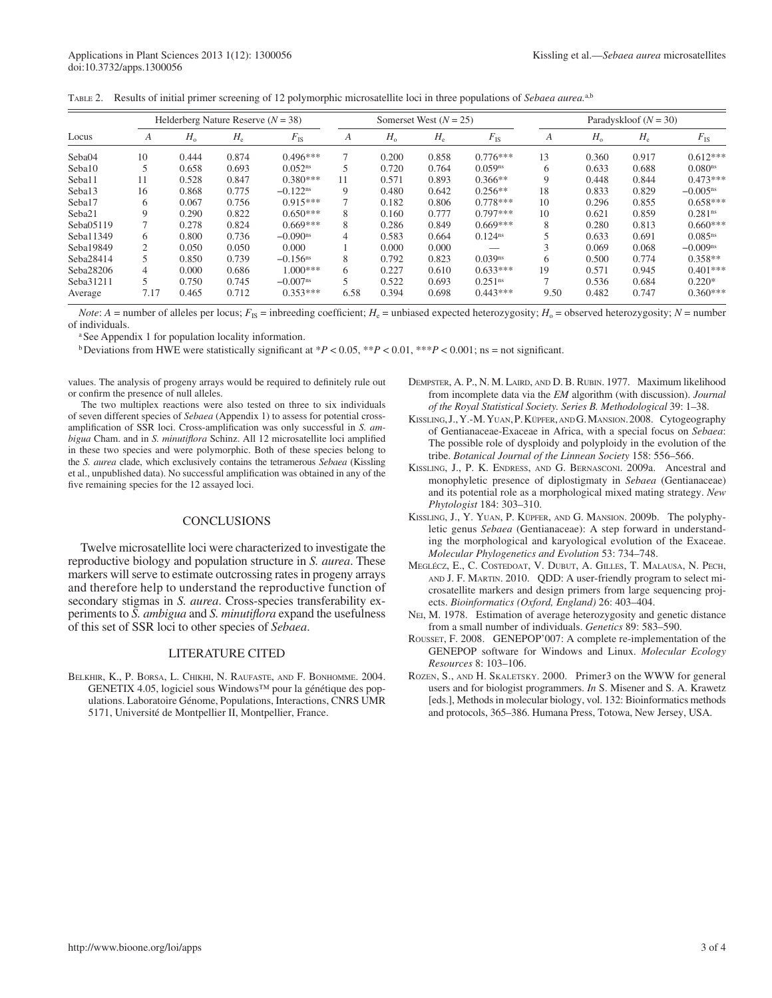|  |  |  | TABLE 2. Results of initial primer screening of 12 polymorphic microsatellite loci in three populations of Sebaea aurea. <sup>a,b</sup> |  |  |
|--|--|--|-----------------------------------------------------------------------------------------------------------------------------------------|--|--|
|--|--|--|-----------------------------------------------------------------------------------------------------------------------------------------|--|--|

|           | Helderberg Nature Reserve $(N = 38)$ |             |             |                        | Somerset West $(N = 25)$ |             |       | Paradyskloof $(N = 30)$ |      |             |             |                      |
|-----------|--------------------------------------|-------------|-------------|------------------------|--------------------------|-------------|-------|-------------------------|------|-------------|-------------|----------------------|
| Locus     | A                                    | $H_{\rm o}$ | $H_{\rm e}$ | $F_{\rm IS}$           | А                        | $H_{\rm o}$ | $H_e$ | $F_{\rm IS}$            | A    | $H_{\rm o}$ | $H_{\rm e}$ | $F_{\rm IS}$         |
| Seba04    | 10                                   | 0.444       | 0.874       | $0.496***$             | ┑                        | 0.200       | 0.858 | $0.776***$              | 13   | 0.360       | 0.917       | $0.612***$           |
| Seba10    |                                      | 0.658       | 0.693       | 0.052 <sup>ns</sup>    |                          | 0.720       | 0.764 | 0.059 <sup>ns</sup>     | 6    | 0.633       | 0.688       | 0.080 <sup>ns</sup>  |
| Seba11    | 11                                   | 0.528       | 0.847       | $0.380***$             | 11                       | 0.571       | 0.893 | $0.366**$               | 9    | 0.448       | 0.844       | $0.473***$           |
| Seba13    | 16                                   | 0.868       | 0.775       | $-0.122$ <sup>ns</sup> | 9                        | 0.480       | 0.642 | $0.256**$               | 18   | 0.833       | 0.829       | $-0.005^{\text{ns}}$ |
| Seba17    | 6                                    | 0.067       | 0.756       | $0.915***$             |                          | 0.182       | 0.806 | $0.778***$              | 10   | 0.296       | 0.855       | $0.658***$           |
| Seba21    | 9                                    | 0.290       | 0.822       | $0.650***$             | 8                        | 0.160       | 0.777 | $0.797***$              | 10   | 0.621       | 0.859       | 0.281 <sup>ns</sup>  |
| Seba05119 |                                      | 0.278       | 0.824       | $0.669***$             | 8                        | 0.286       | 0.849 | $0.669***$              | 8    | 0.280       | 0.813       | $0.660***$           |
| Seba11349 | 6.                                   | 0.800       | 0.736       | $-0.090$ <sup>ns</sup> | 4                        | 0.583       | 0.664 | 0.124 <sup>ns</sup>     |      | 0.633       | 0.691       | 0.085 <sup>ns</sup>  |
| Seba19849 | $\overline{c}$                       | 0.050       | 0.050       | 0.000                  |                          | 0.000       | 0.000 |                         |      | 0.069       | 0.068       | $-0.009ns$           |
| Seba28414 |                                      | 0.850       | 0.739       | $-0.156$ <sup>ns</sup> | 8                        | 0.792       | 0.823 | $0.039$ <sup>ns</sup>   | 6    | 0.500       | 0.774       | $0.358**$            |
| Seba28206 | 4                                    | 0.000       | 0.686       | $1.000***$             | 6                        | 0.227       | 0.610 | $0.633***$              | 19   | 0.571       | 0.945       | $0.401***$           |
| Seba31211 | 5                                    | 0.750       | 0.745       | $-0.007$ <sup>ns</sup> |                          | 0.522       | 0.693 | 0.251 <sup>ns</sup>     |      | 0.536       | 0.684       | $0.220*$             |
| Average   | 7.17                                 | 0.465       | 0.712       | $0.353***$             | 6.58                     | 0.394       | 0.698 | $0.443***$              | 9.50 | 0.482       | 0.747       | $0.360***$           |

*Note*: *A* = number of alleles per locus;  $F_{1S}$  = inbreeding coefficient;  $H_e$  = unbiased expected heterozygosity;  $H_o$  = observed heterozygosity;  $N$  = number of individuals .

a See Appendix 1 for population locality information.

b Deviations from HWE were statistically significant at  $P < 0.05$ ,  $*P < 0.01$ ,  $*P < 0.001$ ; ns = not significant.

values. The analysis of progeny arrays would be required to definitely rule out or confirm the presence of null alleles.

 The two multiplex reactions were also tested on three to six individuals of seven different species of *Sebaea* (Appendix 1) to assess for potential crossamplification of SSR loci. Cross-amplification was only successful in *S. ambigua* Cham. and in *S. minutiflora* Schinz. All 12 microsatellite loci amplified in these two species and were polymorphic. Both of these species belong to the *S. aurea* clade, which exclusively contains the tetramerous *Sebaea* (Kissling et al., unpublished data). No successful amplification was obtained in any of the five remaining species for the 12 assayed loci.

## CONCLUSIONS

 Twelve microsatellite loci were characterized to investigate the reproductive biology and population structure in *S. aurea* . These markers will serve to estimate outcrossing rates in progeny arrays and therefore help to understand the reproductive function of secondary stigmas in *S. aurea*. Cross-species transferability experiments to *S. ambigua* and *S. minutiflora* expand the usefulness of this set of SSR loci to other species of *Sebaea* .

## LITERATURE CITED

BELKHIR, K., P. BORSA, L. CHIKHI, N. RAUFASTE, AND F. BONHOMME. 2004. GENETIX 4.05, logiciel sous Windows™ pour la génétique des populations. Laboratoire Génome, Populations, Interactions, CNRS UMR 5171, Université de Montpellier II, Montpellier, France.

- DEMPSTER, A. P., N. M. LAIRD, AND D. B. RUBIN. 1977. Maximum likelihood from incomplete data via the *EM* algorithm (with discussion). *Journal*  of the Royal Statistical Society. Series B. Methodological 39: 1-38.
- KISSLING, J., Y.-M. YUAN, P. KÜPFER, AND G. MANSION. 2008. Cytogeography of Gentianaceae-Exaceae in Africa, with a special focus on *Sebaea* : The possible role of dysploidy and polyploidy in the evolution of the tribe. *Botanical Journal of the Linnean Society* 158: 556-566.
- KISSLING, J., P. K. ENDRESS, AND G. BERNASCONI. 2009a. Ancestral and monophyletic presence of diplostigmaty in *Sebaea* (Gentianaceae) and its potential role as a morphological mixed mating strategy. *New Phytologist* 184: 303-310.
- KISSLING, J., Y. YUAN, P. KÜPFER, AND G. MANSION. 2009b. The polyphyletic genus *Sebaea* (Gentianaceae): A step forward in understanding the morphological and karyological evolution of the Exaceae. *Molecular Phylogenetics and Evolution* 53: 734-748.
- MEGLÉCZ, E., C. COSTEDOAT, V. DUBUT, A. GILLES, T. MALAUSA, N. PECH, AND J. F. MARTIN. 2010. ODD: A user-friendly program to select microsatellite markers and design primers from large sequencing projects. *Bioinformatics (Oxford, England)* 26: 403-404.
- NEI, M. 1978. Estimation of average heterozygosity and genetic distance from a small number of individuals. *Genetics* 89: 583-590.
- ROUSSET, F. 2008. GENEPOP'007: A complete re-implementation of the GENEPOP software for Windows and Linux. *Molecular Ecology Resources* 8: 103-106.
- ROZEN, S., AND H. SKALETSKY. 2000. Primer3 on the WWW for general users and for biologist programmers. *In* S. Misener and S. A. Krawetz [eds.], Methods in molecular biology, vol. 132: Bioinformatics methods and protocols, 365–386. Humana Press, Totowa, New Jersey, USA.